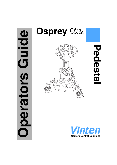# **OPIOIO Operators Guide** perators

# **Osprey** Elite



**Pedestal**Pedesta

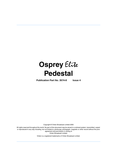# **Osprey** Elite **Pedestal**

**Publication Part No. 3574-8 Issue 4**

Copyright © Vinten Broadcast Limited 2005

All rights reserved throughout the world. No part of this document may be stored in a retrieval system, transmitted, copied or reproduced in any way including, but not limited to, photocopy, photograph, magnetic or other record without the prior agreement and permission in writing of Vinten Broadcast Limited.

Vinten is a registered trademarks of Vinten Broadcast Limited.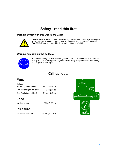# **Safety - read this first**

### <span id="page-2-1"></span>**Warning Symbols in this Operators Guide**



Where there is a risk of personal injury, injury to others, or damage to the pedestal or associated equipment, comments appear, highlighted by the word **WARNING!** and supported by the warning triangle symbol.

### **Warning symbols on the pedestal**



On encountering the warning triangle and open book symbols it is imperative that you consult this operators guide before using this pedestal or attempting any adjustment or repair.

# **Critical data**

# **Mass**

| Column                       |                 |
|------------------------------|-----------------|
| (including steering ring)    | 24.5 kg (54 lb) |
| Trim weights (six off) total | $3$ kg $(6.6)$  |
| Skid (including kickbar)     | 21 kg (46.2 lb) |

# **Load**

Maximum load 75 kg (165 lb)

# **Pressure**

<span id="page-2-0"></span>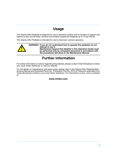# **Usage**

<span id="page-3-0"></span>The Osprey Elite Pedestal is designed for use in television studios and on location to support and balance a pan and tilt head, camera and ancillary equipment weighing up to 75 kg (165 lb).

The Osprey Elite Pedestal is intended for use by television camera operators.



# **Further information**

<span id="page-3-1"></span>For further information or advice regarding this pedestal, please contact Vinten Broadcast Limited, your local Vinten distributor or visit our website.

For full details on maintenance and spare parts, please refer to the Osprey Elite Pedestal Maintenance Manual and Illustrated Parts List - Publication Part No. 3574-9.These are obtainable from Vinten Broadcast Limited or your local Vinten distributor. For information on-line, visit our website at

### **www.vinten.com.**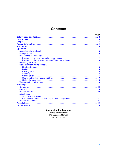# **Contents**

|                                 | Page |
|---------------------------------|------|
|                                 |      |
|                                 |      |
|                                 |      |
|                                 |      |
|                                 |      |
| <b>Operation</b>                |      |
|                                 |      |
|                                 |      |
| Pressurizing the pedestal       |      |
|                                 |      |
|                                 |      |
|                                 |      |
| Using the Osprey Elite pedestal |      |
|                                 |      |
|                                 |      |
|                                 |      |
|                                 |      |
|                                 |      |
|                                 |      |
|                                 |      |
|                                 |      |
| <b>Servicing</b>                |      |
|                                 |      |
|                                 |      |
|                                 |      |
| <b>Adjustments</b>              |      |
|                                 |      |
|                                 |      |
|                                 |      |
| Parts list.                     |      |
|                                 |      |
|                                 |      |

### **Associated Publications** Osprey Elite Pedestal

Maintenance Manual Part No. 3574-9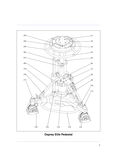<span id="page-5-22"></span><span id="page-5-20"></span><span id="page-5-19"></span><span id="page-5-18"></span><span id="page-5-17"></span><span id="page-5-16"></span><span id="page-5-15"></span><span id="page-5-14"></span><span id="page-5-13"></span><span id="page-5-10"></span><span id="page-5-9"></span><span id="page-5-7"></span><span id="page-5-4"></span><span id="page-5-1"></span><span id="page-5-0"></span>![](_page_5_Figure_0.jpeg)

<span id="page-5-21"></span><span id="page-5-12"></span><span id="page-5-11"></span><span id="page-5-8"></span><span id="page-5-6"></span><span id="page-5-5"></span><span id="page-5-3"></span><span id="page-5-2"></span>**Osprey Elite Pedestal**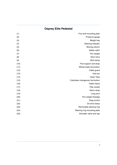# **Osprey Elite Pedestal**

| Four-bolt mounting plate          | (1)  |
|-----------------------------------|------|
| Pressure gauge                    | (2)  |
| Weight tray                       | (3)  |
| Steering indicator                | (4)  |
| Moving column                     | (5)  |
| Safety catch                      | (6)  |
| Trim weight                       | (7)  |
| Short strut                       | (8)  |
| Skid clamp                        | (9)  |
| Foot support and strap            | (10) |
| Wheel brake foot-button           | (11) |
| Cable guard                       | (12) |
| Kick bar                          | (13) |
| Outer Tube                        | (14) |
| Crab/steer changeover foot-button | (15) |
| Cable clamp                       | (16) |
| Tiller socket                     | (17) |
| Velcro strap                      | (18) |
| Long strut                        | (19) |
| Trim weight stowage               | (20) |
| Drag control                      | (21) |
| On-shot clamp                     | (22) |
| Removable steering ring           | (23) |
| Steering ring mounting plate      | (24) |
| Schrader valve and cap            | (25) |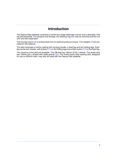# **Introduction**

<span id="page-7-0"></span>The Osprey Elite pedestal comprises a central two-stage telescopic column and a steerable, fold-ing skid assembly. For transport and storage, the steering ring [\(23\)](#page-5-0) may be removed and the column and skid separated.

The moving column [\(5\)](#page-5-1) is pressurized from an external pressure source. Trim weights [\(7\)](#page-5-2) are provided for fine balance.

The skid comprises a centre casting with carrying handle, a fixed leg and two folding legs. Each leg carries twin wheels, with brakes [\(11\)](#page-5-3) on the folding legs and a tiller socket [\(17\)](#page-5-4) on the fixed leg.

Two versions of the skid are available. The OB skid has 160mm (6.3in.) wheels. The studio skid has 125mm (5in.) wheels with cable guards [\(12\)](#page-5-5). The Vinten heavy-duty tracking skid, designed for use on 620mm track, may also be used with the Osprey Elite pedestal.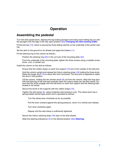# **Operation**

# <span id="page-8-1"></span><span id="page-8-0"></span>**Assembling the pedestal**

Turn the skid upside-down, depress the leg locking plungers and swing each folding leg out until the plungers lock the legs in the fully open position (See **[Changing the skid tracking width](#page-16-0)**).

Fit the kick bar [\(13\),](#page-5-6) which is secured by three sliding catches on the underside of the centre casting.

Set the skid on the ground on its wheels and apply the brakes [\(11\)](#page-5-3).

Fit the steering ring to the column as follows:

Position the steering ring [\(23\)](#page-5-0) in the cut-outs of the mounting plate [\(24\).](#page-5-7)

From the underside of the mounting plate, tighten the three screws using a suitable screwdriver, coin, or similar tool.

Install the column on the skid as follows:

Ensure that the rubber straps on each foot support [\(10\)](#page-5-8) are to the outside of the ball joint.

Hold the column upright and release the Velcro retaining strap [\(18\)](#page-5-9) holding the three struts. Raise the longer strut [\(19\)](#page-5-10) to about 30o from horizontal. The strut joint is adjusted to retain the strut in this position.

Lift the column, holding the two shorter struts  $(8)$  out from the column. Align the long strut with the fixed leg of the skid and carefully lower the column base into the skid centre. Ensure that the struts engage with the ball joints on each foot support and the steering tube locates in its socket.

Secure the struts to the supports with the rubber straps [\(10\)](#page-5-8).

Tighten the skid clamp [\(9\)](#page-5-12), using moderate hand pressure only. The clamp lever has a spring-loaded ratchet-type action and is operated as follows:

Turn the clamp lever clockwise as far as possible.

Pull the lever outward against the spring pressure, return it to vertical and release.

Turn lever clockwise again.

Repeat until the skid clamp is sufficiently tightened.

Secure the Velcro retaining strap [\(18\)](#page-5-9) clear of the skid wheels.

Slide the steering indicator(s) [\(4\)](#page-5-13) to the desired position (See **[Steering](#page-14-4)**).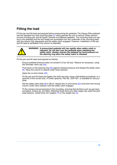# <span id="page-9-0"></span>**Fitting the load**

Fit the pan and tilt head and payload before pressurizing the pedestal. The Osprey Elite pedestal has the standard four-bolt mounting plate [\(1\)](#page-5-14) which permits the use of various Vinten camera mounts including pan and tilt heads, Quickfix and Mitchell adapters. The mounting bolts are captive in the pedestal and the bolt heads are accessible from the underside of the mounting plate with the column fully depressed and the safety catch engaged. However, installation of the pan and tilt head is facilitated if the column is extended.

![](_page_9_Picture_2.jpeg)

Fit the pan and tilt head and payload as follows:

Ensure pedestal pressure does not exceed 3.5 bar (50 psi). Reduce as necessary, using the Schrader valve cap [\(25\)](#page-5-15),

Push down on the steering ring [\(23\)](#page-5-0) against residual pressure and release the safety catch [\(6\)](#page-5-16). Allow the column to extend under hand restraint.

Apply the on-shot clamp [\(22\)](#page-5-17).

Fit the pan and tilt head and tighten the bolts securely using a flat-bladed screwdriver or a spanner of the correct size. A Vinten spanner, Part No. J551-001, is available for this purpose.

Set the safety catch slide  $(6)$  to ON (I), release the on-shot clamp  $(22)$  and lower the moving column under hand restraint until the safety catch engages.

Fit the camera and accessories to the mounting, ensuring that all items such as pan bars, prompters, lenses etc, are fitted. Attaching these items at a later stage may upset the pedestal balance. Install three trim weights  $(7)$  on the weight tray  $(3)$ .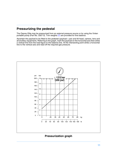# <span id="page-10-0"></span>**Pressurizing the pedestal**

The Osprey Elite may be pressurized from an external pressure source or by using the Vinten portable pump (Part No. 3357-3). Trim weights [\(7\)](#page-5-2) are provided for fine balance.

Ascertain the payload to be fitted to the pedestal (payload = pan and tilt head, camera, lens and all ancillary equipment). Referring to the graph, mark the payload on the horizontal axis then strike a vertical line from the load figure to the balance line. At the intersecting point strike a horizontal line to the vertical axis and read off the required gas pressure.

![](_page_10_Figure_3.jpeg)

### **Pressurization graph**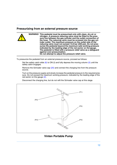### <span id="page-11-0"></span>**Pressurizing from an external pressure source**

|  | WARNING! This pedestal must be pressurized only with clean, dry air or<br>nitrogen. A pressure reducing valve must be fitted to the pres-<br>sure line between the gas cylinder and the outlet connection of<br>the hose. The reducing valve must be screwed into the gas cyl-<br>inder outlet. The maximum pressure on the outlet side of the<br>reducing valve must not exceed 13.8 bar (200 psi). Do not pres-<br>surize the pedestal beyond the maximum safe working pressure<br>indicated by the leading edge of the red sector on the gauge.<br>The pedestal is fitted with a pressure relief valve as a safeguard |
|--|--------------------------------------------------------------------------------------------------------------------------------------------------------------------------------------------------------------------------------------------------------------------------------------------------------------------------------------------------------------------------------------------------------------------------------------------------------------------------------------------------------------------------------------------------------------------------------------------------------------------------|
|  | against over-pressurization.<br>Do not attempt to adjust the pressure relief valve.                                                                                                                                                                                                                                                                                                                                                                                                                                                                                                                                      |

To pressurize the pedestal from an external pressure source, proceed as follows:

Set the safety catch slide  $(6)$  to ON (I) and fully depress the moving column  $(5)$  until the safety catch engages.

Remove the Schrader valve cap [\(25\)](#page-5-15) and connect the charging line from the pressure source.

Turn on the pressure supply and slowly increase the pedestal pressure to the required pressure. Do not exceed the maximum working pressure, indicated by the leading edge of the red sector on the gauge [\(2\).](#page-5-19)

<span id="page-11-2"></span>Disconnect the charging line, but do not refit the Schrader valve cap at this stage.

![](_page_11_Figure_7.jpeg)

### <span id="page-11-5"></span><span id="page-11-4"></span><span id="page-11-3"></span><span id="page-11-1"></span>**Vinten Portable Pump**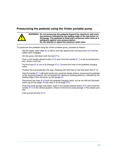### <span id="page-12-0"></span>**Pressurizing the pedestal using the Vinten portable pump**

### **WARNING! Do not pressurize the pedestal beyond the maximum safe working pressure indicated by the leading edge of the red sector on the gauge. The pedestal is fitted with a pressure relief valve as a safeguard against over-pressurization. Do not attempt to adjust the pressure relief valve.**

To pressurize the pedestal using the Vinten portable pump, proceed as follows:

Set the safety catch slide [\(6\)](#page-5-16) to ON (1) and fully depress the moving column [\(5\)](#page-5-1) until the safety catch engages.

On the pump, fold down both the feet [\(P.3\)](#page-11-1).

Push in the handle release button  $(P.5)$  and move the handle  $(P.1)$  to the horizontal position, where it will lock.

Pull the hose  $(P.4)$  out of its stowage  $(P.2)$ . Connect the hose to the pedestal charging valve.

Position the pump between the legs, standing with both feet on the fold-down feet [\(P.3\).](#page-11-1)

Grip the handle  $(P.1)$  with both hands and, using full steady strokes, pressurize the pedestal to the required pressure. Do not exceed the maximum working pressure, indicated by the leading edge of the red sector on the gauge [\(2\).](#page-5-19)

Disconnect the hose  $(P.4)$  from the pedestal charging valve, but do not refit the Schrader valve cap at this stage. Fit the hose in its stowage [\(P.2\).](#page-11-5)

Push the pump plunger fully down, push in the handle release button  $(P.5)$  and move the handle  $(P.1)$  to the vertical position, where it will lock the pump plunger in the closed position.

Fold up both the feet [\(P.3\)](#page-11-1).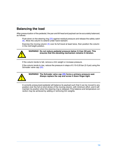# <span id="page-13-0"></span>**Balancing the load**

After pressurization of the pedestal, the pan and tilt head and payload can be accurately balanced, as follows:

Push down on the steering ring [\(23\)](#page-5-0) against residual pressure and release the safety catch [\(6\)](#page-5-16). Allow the column to extend under hand restraint.

Exercise the moving column [\(5\)](#page-5-1) over its full travel at least twice, then position the column in the mid-height position.

![](_page_13_Picture_4.jpeg)

**WARNING! Do not reduce pedestal pressure below 3.5 bar (50 psi). This ensures that the elevating mechanism remains in tension.**

If the column tends to fall, remove a trim weight or increase pressure.

If the column tends to rise, reduce the pressure in steps of 0.15-0.20 bar (2-3 psi) using the Schrader valve cap [\(25\)](#page-5-15).

![](_page_13_Picture_8.jpeg)

**WARNING! The Schrader valve cap [\(25\)](#page-5-15) forms a primary pressure seal. Always replace the cap and screw it down finger-tight.**

A correctly pressurized pedestal will balance its payload such that it can be moved to any position over the full on-shot stroke of the moving column, with minimum effort, and it will maintain its position when the steering ring is released. Fine balance and temperature correction may be achieved by adding or removing trim weights.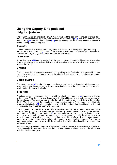# <span id="page-14-1"></span><span id="page-14-0"></span>**Using the Osprey Elite pedestal Height adjustment**

The column has an on-shot stroke of 770 mm (30 in.) and the load can be moved over this distance, in perfect balance, by raising and lowering the steering ring [\(23\).](#page-5-0) The movement is adjustable for drag [\(21\)](#page-5-20) and an on-shot clamp [\(22\)](#page-5-17) can be used to hold the moving column in position if fixed height operation is required.

### **Drag control**

Column movement is adjustable for drag and this is set according to operator preference by means of the drag control [\(21\)](#page-5-20) located at the top of the outer tube. Turn the control clockwise to increase the drag setting, and counter-clockwise to decease it.

### **On-shot clamp**

An on-shot clamp [\(22\)](#page-5-17) can be used to hold the moving column in position if fixed height operation is required. Move the clamp lever fully to the left to apply the clamp. Move it fully to the right to release the clamp.

### <span id="page-14-2"></span>**Brakes**

The skid is fitted with brakes on the wheels on the folding legs. The brakes are operated by press-ing on the foot-buttons [\(11\)](#page-5-3) located above the wheels. Press once to apply the brake and again to release it.

### <span id="page-14-3"></span>**Cable guards**

The cable guards [\(12\)](#page-5-5) fitted to the studio version are height-adjustable and should be set as required. Adjustment is carried out by slackening the knobs, setting the cable guards at the required height and re-tightening the knobs.

### <span id="page-14-4"></span>**Steering**

Directional control of the pedestal is achieved by turning the steering ring [\(23\)](#page-5-0) mounted at the top of the column. The steering system is geared so that the skid wheels turn by the same amount as the steering ring. This ensures, for example, that with the pedestal set to crab, turning the steering ring by 90o will also cause the pedestal to change direction by 90o. The steering ring is fitted with two movable indicators [\(4\)](#page-5-13) which can be used to mark the straight-ahead position of the ring and will thus provide a reference point when steering.

The skid has a crab/steer arrangement with a foot-operated changeover mechanism, which provides a steer setting i.e. one wheel steering, two fixed; or a crab setting, where all three wheels turn together. Pushing the foot-button [\(15\)](#page-5-21) operates a changeover mechanism which toggles the pedestal between crab and steer. Although the button can be pressed with the wheels in any position, the changeover will not occur until the wheels are all facing forward, so the steering ring may have to be turned by up to 180o before the changeover mechanism engages. This arrangement ensures that the rear wheels will always lock in the straight-ahead position when changing from crab to steer.

A clutch in each wheel unit disconnects that wheel from the steering in the event of the wheel striking an obstacle. To reconnect the wheel, hold the steering ring stationary and turn the wheel unit until the clutch re-engages.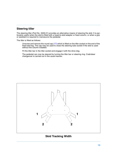### <span id="page-15-0"></span>**Steering tiller**

The steering tiller (Part No. 3329-21) provides an alternative means of steering the skid. It is particularly useful when the skid is fitted with a head-to-skid adapter or fixed column, or when a grip or assistant is required to manoeuvre the pedestal.

The tiller is fitted as follows:

Unscrew and remove the round cap [\(17\)](#page-5-4) which is fitted on the tiller socket on the end of the fixed skid leg. The cap may be used to close the steering tube socket if the skid is used without the column installed.

Fit the tiller bar in the tiller socket and engage it with the drive dog.

The pedestal can now be steered by turning the tiller bar or steering ring. Crab/steer changeover is carried out in the usual manner.

![](_page_15_Figure_6.jpeg)

### **Skid Tracking Width**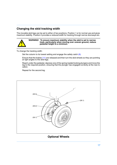### <span id="page-16-0"></span>**Changing the skid tracking width**

The movable skid legs can be set to either of two positions. Position 1 is for normal use and gives maximum stability. Position 2 provides a reduced width for tracking through narrow doorways etc.

![](_page_16_Picture_2.jpeg)

**WARNING! To ensure maximum stability when the skid is set to narrow track, particularly when moving over uneven ground, reduce pedestal height to a minimum**

To change the tracking width:

Set the column to its lowest setting and engage the safety catch [\(6\)](#page-5-16).

Ensure that the brakes [\(11\)](#page-5-3) are released and then turn the skid wheels so they are pointing at right angles to the skid legs.

Reach under the pedestal, depress one of the spring-loaded locking plungers and move the leg to the required position, ensuring that the plunger has engaged correctly at the new location.

Repeat for the second leg.

<span id="page-16-3"></span><span id="page-16-2"></span>![](_page_16_Figure_9.jpeg)

# <span id="page-16-1"></span>**Optional Wheels**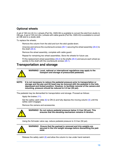# <span id="page-17-0"></span>**Optional wheels**

A set of 160 mm (6.3 in.) wheels (Part No. 3329-30) is available to convert the skid from studio to OB use. A set of 125 mm (5in.) wheels with cable guards (Part No. 3329-43) is available to convert an OB skid to a studio skid.

To replace the wheels:

Remove the column from the skid and turn the skid upside-down.

Unscrew and remove the countersunk screws [\(26.1\)](#page-16-1) securing the wheel assembly [\(26.2\)](#page-16-2) to the shaft [\(26.3\)](#page-16-3).

Remove the wheel assembly, complete with cable guard.

Repeat for remaining two wheel assemblies. Store the wheels for future use.

Fit the replacement wheel assemblies [\(26.2\)](#page-16-2) to the shafts [\(26.3\)](#page-16-3) and secure each wheel assembly to the shaft with the countersunk screws  $(26.1)$ .

# <span id="page-17-1"></span>**Transportation and storage**

![](_page_17_Picture_9.jpeg)

**WARNING! Local, national or international regulations may apply to the transport and storage of pressurized pedestals.**

**NOTE: It is not necessary to reduce the pedestal pressure prior to transportation or storage and the pan and tilt head may be removed with the pedestal in the fully depressed and locked position. However, to facilitate removal of the camera and mounting, pressure should be reduced to 3.5 bar (50 psi).**

The pedestal may be dismantled for transportation and storage. Proceed as follows:

Apply the brakes [\(11\)](#page-5-3).

Set the safety catch slide  $(6)$  to ON (I) and fully depress the moving column  $(5)$  until the safety catch engages.

Remove the camera and accessories.

![](_page_17_Picture_16.jpeg)

**WARNING! Do not reduce pedestal pressure below 3.5 bar (50 psi). This ensures that the elevating mechanism remains in tension.**

Using the Schrader valve cap, reduce pedestal pressure to 3.5 bar (50 psi).

![](_page_17_Picture_19.jpeg)

**WARNING! Ensure that the payload is removed and trim weights are secured in the trim weight stowage before dismantling the pedestal.**

Release the safety catch [\(6\)](#page-5-16) and allow the column to rise under hand restraint.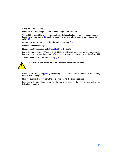Apply the on-shot clamp [\(22\)](#page-5-17).

Undo the four mounting bolts and remove the pan and tilt head.

To avoid the possibility of dust or abrasive particles collecting on moving components, re-lease the on-shot clamp [\(22\),](#page-5-17) set the column to minimum height and engage the safety catch [\(6\)](#page-5-16).

Secure any trim weights [\(7\)](#page-5-2) in the trim weight stowage [\(20\).](#page-5-22)

Release the skid clamp [\(9\).](#page-5-12)

Release the three rubber foot straps [\(10\)](#page-5-8) from the struts.

Raise the longer strut [\(19\)\(](#page-5-10)on the fixed skid leg), which will remain raised when released. Raise and hold the two shorter struts  $(8)$ , then lift the complete column vertically off the skid.

Secure the struts with the Velcro strap [\(18\).](#page-5-9)

![](_page_18_Picture_8.jpeg)

### **WARNING! The column will be unstable if stood on its base.**

Remove the steering ring [\(23\)](#page-5-0) by unscrewing each fastener until it releases. Lift the steering ring off its mounting plate  $(24)$ .

Remove the kick bar [\(13\)](#page-5-6) from the skid by releasing the sliding catches.

Depress the locking plungers and fold the skid legs, ensuring that the plungers lock in the fully closed position.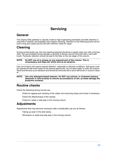# **Servicing**

# <span id="page-19-1"></span><span id="page-19-0"></span>**General**

The Osprey Elite pedestal is robustly made to high engineering standards and little attention is required to maintain serviceability save regular cleaning. Attention to the following points will ensure a long and useful service life with minimum need for repair.

# <span id="page-19-2"></span>**Cleaning**

During normal studio use, the only cleaning required should be a regular wipe over with a lint-free cloth. Dirt accumulated during storage or periods of disuse may be removed with a semi-stiff brush. Particular attention should be paid to the flats on the top stage of the column.

**NOTE: Do NOT use oil or grease on any exposed part of the column. This is unnecessary and traps dirt which acts as an abrasive.**

Use out-of-doors will require special attention, especially in adverse conditions. Salt spray must be washed off with fresh water at the earliest opportunity. Do not allow water to enter the column. Sand and dirt acts as an abrasive and should be removed with a semi-stiff brush or vacuum cleaner.

### **NOTE: Use only detergent-based cleaners. Do NOT use solvent- or oil-based cleaners, abrasives or wire brushes to remove accumulations of dirt, as these damage the protective surfaces.**

# <span id="page-19-3"></span>**Routine checks**

Check the following during normal use:

Check for ageing and cracking of the rubber strut securing straps and renew if necessary.

Check the effectiveness of the clamps.

Check for radial or side play in the moving column.

# <span id="page-19-4"></span>**Adjustments**

Adjustments that may become necessary after considerable use are as follows:

Taking up wear In the skid clamp.

Elimination of radial and side play in the moving column.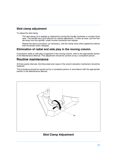### <span id="page-20-0"></span>**Skid clamp adjustment**

To adjust the skid clamp:

The skid clamp [\(9\)](#page-20-3) is applied or released by turning the handle clockwise or counter-clockwise. The handle has a pull-off/push-on ratchet adjustment. To take up wear, pull the handle away from the spindle, rotate counter-clockwise and release.

Repeat the above procedure, as necessary, until the clamp locks when applied but allows free movement when released.

### <span id="page-20-1"></span>**Elimination of radial and side play in the moving column.**

If excessive radial or side play is apparent in the moving column, refer to the appropriate section in the Maintenance Manual. This adjustment should be carried out by a competent person.

# <span id="page-20-2"></span>**Routine maintenance**

At three-yearly intervals, the three steel wire ropes in the column elevation mechanism should be replaced.

This procedure should be carried out by a competent person in accordance with the appropriate section in the Maintenance Manual.

![](_page_20_Picture_9.jpeg)

### <span id="page-20-3"></span>**Skid Clamp Adjustment**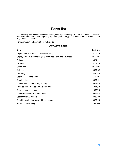# **Parts list**

<span id="page-21-0"></span>The following lists include main assemblies, user-replaceable spare parts and optional accessories. For further information regarding repair or spare parts, please contact Vinten Broadcast Ltd or your local distributor.

For information on-line, visit our website at

### **www.vinten.com.**

| <b>Item</b>                                                   | Part No. |
|---------------------------------------------------------------|----------|
| Osprey Elite, OB version (160mm wheels)                       | 3574-3B  |
| Osprey Elite, studio version (125 mm wheels and cable guards) | 3574-3C  |
| Column                                                        | 3574-11  |
| OB skid                                                       | 3573-3B  |
| Studio skid                                                   | 3573-3C  |
| Kick bar                                                      | 3329-32  |
| Trim weight                                                   | 3329-328 |
| Spanner - for head bolts                                      | J551-001 |
| Steering tiller                                               | 3329-21  |
| Column - for fitting to Penguin dolly                         | 3329-20  |
| Fixed column - for use with Dolphin arm                       | 3348-3   |
| Short column assembly                                         | 3354-3   |
| Low-level adaptor (four-bolt fixing)                          | 3368-24  |
| Set of three OB wheels                                        | 3329-30  |
| Set of three studio wheels with cable guards                  | 3329-43  |
| Vinten portable pump                                          | 3357-3   |